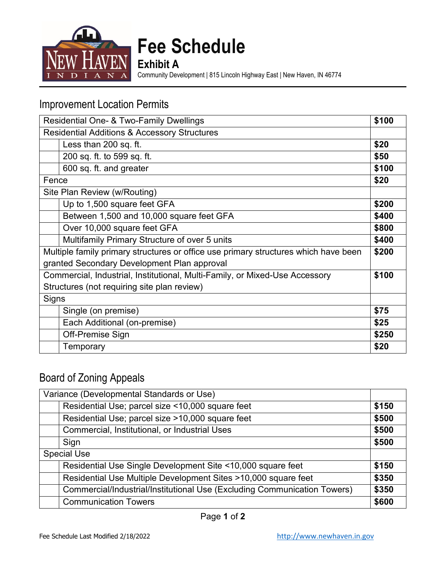

**Fee Schedule**

**Exhibit A**

Community Development | 815 Lincoln Highway East | New Haven, IN 46774

### Improvement Location Permits

| Residential One- & Two-Family Dwellings                                             |                                               | \$100 |
|-------------------------------------------------------------------------------------|-----------------------------------------------|-------|
| <b>Residential Additions &amp; Accessory Structures</b>                             |                                               |       |
|                                                                                     | Less than 200 sq. ft.                         | \$20  |
|                                                                                     | 200 sq. ft. to 599 sq. ft.                    | \$50  |
|                                                                                     | 600 sq. ft. and greater                       | \$100 |
| Fence                                                                               |                                               | \$20  |
| Site Plan Review (w/Routing)                                                        |                                               |       |
|                                                                                     | Up to 1,500 square feet GFA                   | \$200 |
|                                                                                     | Between 1,500 and 10,000 square feet GFA      | \$400 |
|                                                                                     | Over 10,000 square feet GFA                   | \$800 |
|                                                                                     | Multifamily Primary Structure of over 5 units | \$400 |
| Multiple family primary structures or office use primary structures which have been |                                               | \$200 |
| granted Secondary Development Plan approval                                         |                                               |       |
| Commercial, Industrial, Institutional, Multi-Family, or Mixed-Use Accessory         |                                               | \$100 |
| Structures (not requiring site plan review)                                         |                                               |       |
| Signs                                                                               |                                               |       |
|                                                                                     | Single (on premise)                           | \$75  |
|                                                                                     | Each Additional (on-premise)                  | \$25  |
|                                                                                     | Off-Premise Sign                              | \$250 |
|                                                                                     | Temporary                                     | \$20  |

## Board of Zoning Appeals

|                    | Variance (Developmental Standards or Use)                                |       |
|--------------------|--------------------------------------------------------------------------|-------|
|                    | Residential Use; parcel size <10,000 square feet                         | \$150 |
|                    | Residential Use; parcel size >10,000 square feet                         | \$500 |
|                    | Commercial, Institutional, or Industrial Uses                            | \$500 |
|                    | Sign                                                                     | \$500 |
| <b>Special Use</b> |                                                                          |       |
|                    | Residential Use Single Development Site <10,000 square feet              | \$150 |
|                    | Residential Use Multiple Development Sites >10,000 square feet           | \$350 |
|                    | Commercial/Industrial/Institutional Use (Excluding Communication Towers) | \$350 |
|                    | <b>Communication Towers</b>                                              | \$600 |